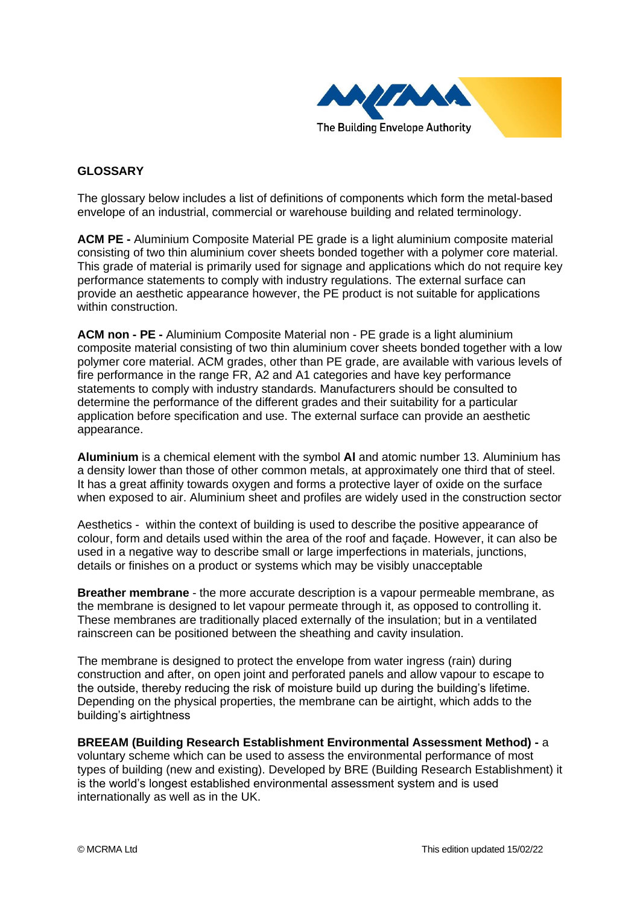

## **GLOSSARY**

The glossary below includes a list of definitions of components which form the metal-based envelope of an industrial, commercial or warehouse building and related terminology.

**ACM PE -** Aluminium Composite Material PE grade is a light aluminium composite material consisting of two thin aluminium cover sheets bonded together with a polymer core material. This grade of material is primarily used for signage and applications which do not require key performance statements to comply with industry regulations. The external surface can provide an aesthetic appearance however, the PE product is not suitable for applications within construction.

**ACM non - PE -** Aluminium Composite Material non - PE grade is a light aluminium composite material consisting of two thin aluminium cover sheets bonded together with a low polymer core material. ACM grades, other than PE grade, are available with various levels of fire performance in the range FR, A2 and A1 categories and have key performance statements to comply with industry standards. Manufacturers should be consulted to determine the performance of the different grades and their suitability for a particular application before specification and use. The external surface can provide an aesthetic appearance.

**Aluminium** is a chemical element with the symbol **Al** and atomic number 13. Aluminium has a density lower than those of other common metals, at approximately one third that of steel. It has a great affinity towards oxygen and forms a protective layer of oxide on the surface when exposed to air. Aluminium sheet and profiles are widely used in the construction sector

Aesthetics - within the context of building is used to describe the positive appearance of colour, form and details used within the area of the roof and façade. However, it can also be used in a negative way to describe small or large imperfections in materials, junctions, details or finishes on a product or systems which may be visibly unacceptable

**Breather membrane** - the more accurate description is a vapour permeable membrane, as the membrane is designed to let vapour permeate through it, as opposed to controlling it. These membranes are traditionally placed externally of the insulation; but in a ventilated rainscreen can be positioned between the sheathing and cavity insulation.

The membrane is designed to protect the envelope from water ingress (rain) during construction and after, on open joint and perforated panels and allow vapour to escape to the outside, thereby reducing the risk of moisture build up during the building's lifetime. Depending on the physical properties, the membrane can be airtight, which adds to the building's airtightness

**BREEAM (Building Research Establishment Environmental Assessment Method) -** a voluntary scheme which can be used to assess the environmental performance of most types of building (new and existing). Developed by BRE (Building Research Establishment) it is the world's longest established environmental assessment system and is used internationally as well as in the UK.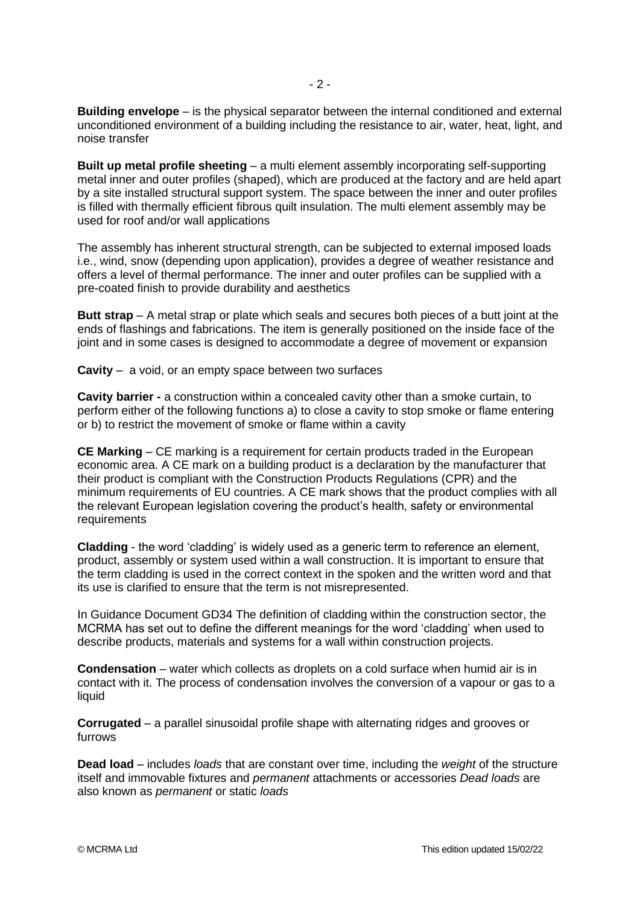**Building envelope** – is the physical separator between the internal conditioned and external unconditioned environment of a building including the resistance to air, water, heat, light, and noise transfer

**Built up metal profile sheeting** – a multi element assembly incorporating self-supporting metal inner and outer profiles (shaped), which are produced at the factory and are held apart by a site installed structural support system. The space between the inner and outer profiles is filled with thermally efficient fibrous quilt insulation. The multi element assembly may be used for roof and/or wall applications

The assembly has inherent structural strength, can be subjected to external imposed loads i.e., wind, snow (depending upon application), provides a degree of weather resistance and offers a level of thermal performance. The inner and outer profiles can be supplied with a pre-coated finish to provide durability and aesthetics

**Butt strap** – A metal strap or plate which seals and secures both pieces of a butt joint at the ends of flashings and fabrications. The item is generally positioned on the inside face of the joint and in some cases is designed to accommodate a degree of movement or expansion

**Cavity** – a void, or an empty space between two surfaces

**Cavity barrier -** a construction within a concealed cavity other than a smoke curtain, to perform either of the following functions a) to close a cavity to stop smoke or flame entering or b) to restrict the movement of smoke or flame within a cavity

**CE Marking** – CE marking is a requirement for certain products traded in the European economic area. A CE mark on a building product is a declaration by the manufacturer that their product is compliant with the Construction Products Regulations (CPR) and the minimum requirements of EU countries. A CE mark shows that the product complies with all the relevant European legislation covering the product's health, safety or environmental requirements

**Cladding** - the word 'cladding' is widely used as a generic term to reference an element, product, assembly or system used within a wall construction. It is important to ensure that the term cladding is used in the correct context in the spoken and the written word and that its use is clarified to ensure that the term is not misrepresented.

In Guidance Document GD34 The definition of cladding within the construction sector, the MCRMA has set out to define the different meanings for the word 'cladding' when used to describe products, materials and systems for a wall within construction projects.

**Condensation** – water which collects as droplets on a cold surface when humid air is in contact with it. The process of condensation involves the conversion of a vapour or gas to a liquid

**Corrugated** – a parallel sinusoidal profile shape with alternating ridges and grooves or furrows

**Dead load** – includes *loads* that are constant over time, including the *weight* of the structure itself and immovable fixtures and *permanent* attachments or accessories *Dead loads* are also known as *permanent* or static *loads*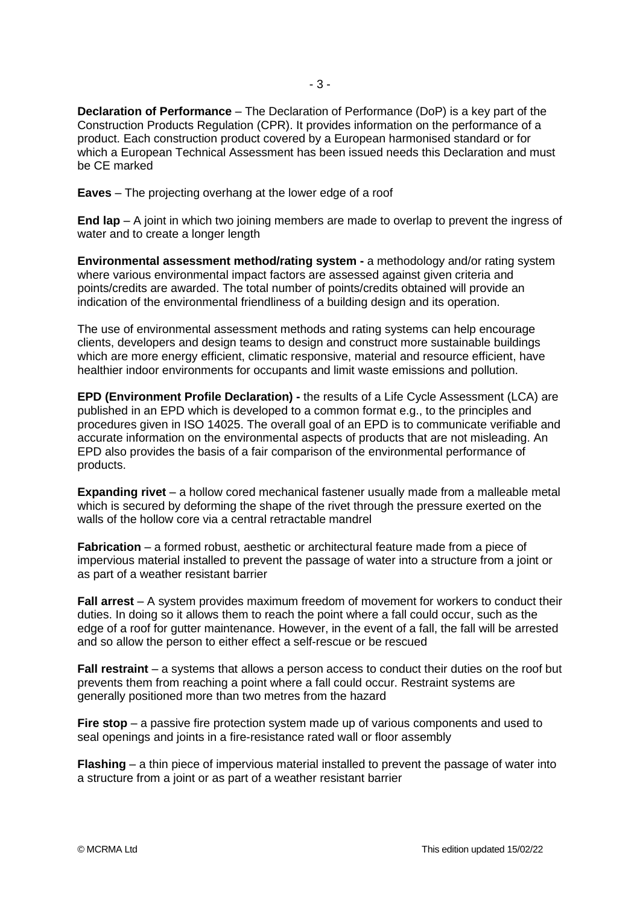**Declaration of Performance** – The Declaration of Performance (DoP) is a key part of the Construction Products Regulation (CPR). It provides information on the performance of a product. Each construction product covered by a European harmonised standard or for which a European Technical Assessment has been issued needs this Declaration and must be CE marked

**Eaves** – The projecting overhang at the lower edge of a roof

**End lap** – A joint in which two joining members are made to overlap to prevent the ingress of water and to create a longer length

**Environmental assessment method/rating system -** a methodology and/or rating system where various environmental impact factors are assessed against given criteria and points/credits are awarded. The total number of points/credits obtained will provide an indication of the environmental friendliness of a building design and its operation.

The use of environmental assessment methods and rating systems can help encourage clients, developers and design teams to design and construct more sustainable buildings which are more energy efficient, climatic responsive, material and resource efficient, have healthier indoor environments for occupants and limit waste emissions and pollution.

**EPD (Environment Profile Declaration) -** the results of a Life Cycle Assessment (LCA) are published in an EPD which is developed to a common format e.g., to the principles and procedures given in ISO 14025. The overall goal of an EPD is to communicate verifiable and accurate information on the environmental aspects of products that are not misleading. An EPD also provides the basis of a fair comparison of the environmental performance of products.

**Expanding rivet** – a hollow cored mechanical fastener usually made from a malleable metal which is secured by deforming the shape of the rivet through the pressure exerted on the walls of the hollow core via a central retractable mandrel

**Fabrication** – a formed robust, aesthetic or architectural feature made from a piece of impervious material installed to prevent the passage of water into a structure from a joint or as part of a weather resistant barrier

**Fall arrest** – A system provides maximum freedom of movement for workers to conduct their duties. In doing so it allows them to reach the point where a fall could occur, such as the edge of a roof for gutter maintenance. However, in the event of a fall, the fall will be arrested and so allow the person to either effect a self-rescue or be rescued

**Fall restraint** – a systems that allows a person access to conduct their duties on the roof but prevents them from reaching a point where a fall could occur. Restraint systems are generally positioned more than two metres from the hazard

**Fire stop** – a passive fire protection system made up of various components and used to seal openings and joints in a fire-resistance rated wall or floor assembly

**Flashing** – a thin piece of impervious material installed to prevent the passage of water into a structure from a joint or as part of a weather resistant barrier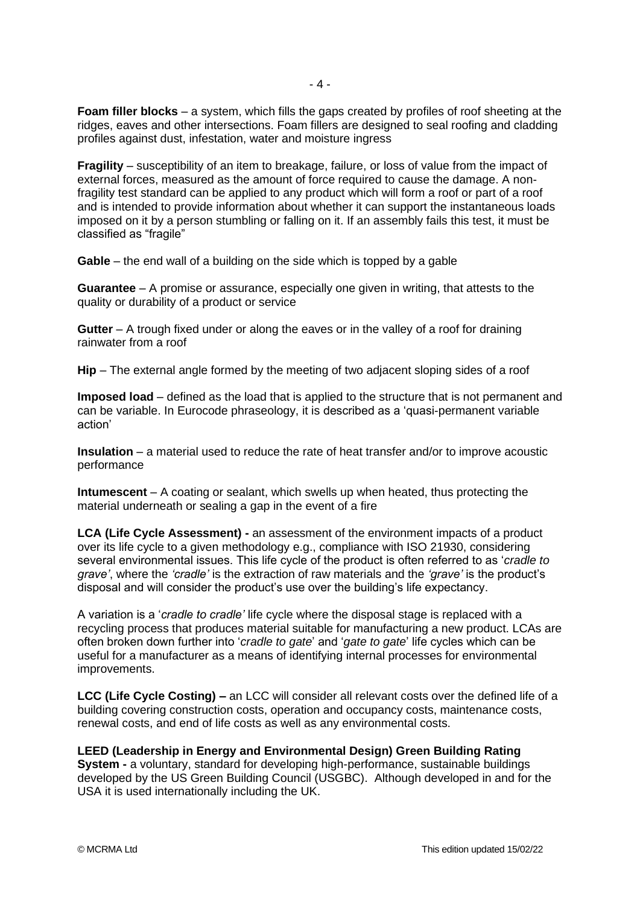**Foam filler blocks** – a system, which fills the gaps created by profiles of roof sheeting at the ridges, eaves and other intersections. Foam fillers are designed to seal roofing and cladding profiles against dust, infestation, water and moisture ingress

**Fragility** – susceptibility of an item to breakage, failure, or loss of value from the impact of external forces, measured as the amount of force required to cause the damage. A nonfragility test standard can be applied to any product which will form a roof or part of a roof and is intended to provide information about whether it can support the instantaneous loads imposed on it by a person stumbling or falling on it. If an assembly fails this test, it must be classified as "fragile"

**Gable** – the end wall of a building on the side which is topped by a gable

**Guarantee** – A promise or assurance, especially one given in writing, that attests to the quality or durability of a product or service

**Gutter** – A trough fixed under or along the eaves or in the valley of a roof for draining rainwater from a roof

**Hip** – The external angle formed by the meeting of two adjacent sloping sides of a roof

**Imposed load** – defined as the load that is applied to the structure that is not permanent and can be variable. In Eurocode phraseology, it is described as a 'quasi-permanent variable action'

**Insulation** – a material used to reduce the rate of heat transfer and/or to improve acoustic performance

**Intumescent** – A coating or sealant, which swells up when heated, thus protecting the material underneath or sealing a gap in the event of a fire

**LCA (Life Cycle Assessment) -** an assessment of the environment impacts of a product over its life cycle to a given methodology e.g., compliance with ISO 21930, considering several environmental issues. This life cycle of the product is often referred to as '*cradle to grave'*, where the *'cradle'* is the extraction of raw materials and the *'grave'* is the product's disposal and will consider the product's use over the building's life expectancy.

A variation is a '*cradle to cradle'* life cycle where the disposal stage is replaced with a recycling process that produces material suitable for manufacturing a new product. LCAs are often broken down further into '*cradle to gate*' and '*gate to gate*' life cycles which can be useful for a manufacturer as a means of identifying internal processes for environmental improvements.

**LCC (Life Cycle Costing) –** an LCC will consider all relevant costs over the defined life of a building covering construction costs, operation and occupancy costs, maintenance costs, renewal costs, and end of life costs as well as any environmental costs.

**LEED (Leadership in Energy and Environmental Design) Green Building Rating System -** a voluntary, standard for developing high-performance, sustainable buildings developed by the US Green Building Council (USGBC). Although developed in and for the USA it is used internationally including the UK.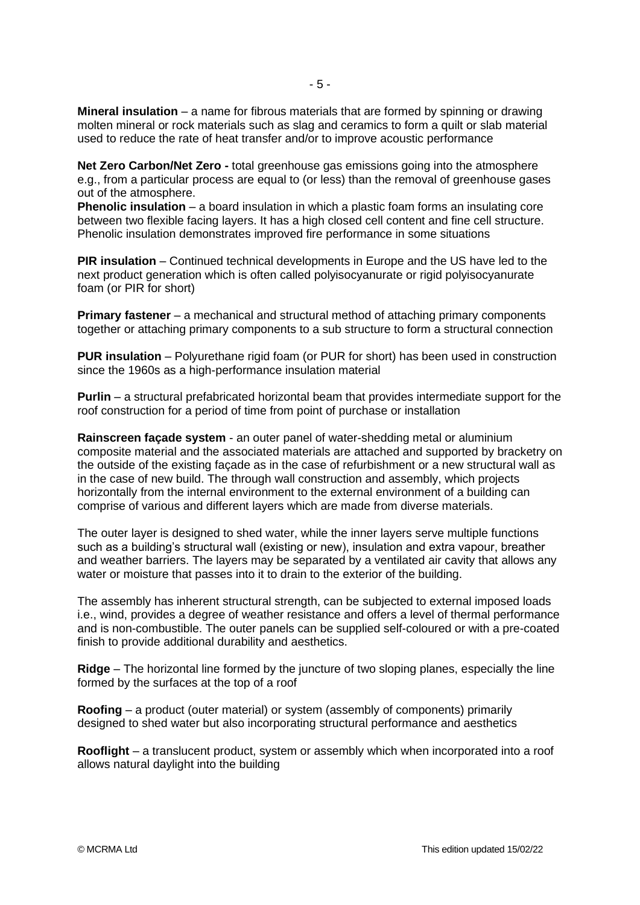**Net Zero Carbon/Net Zero -** total greenhouse gas emissions going into the atmosphere e.g., from a particular process are equal to (or less) than the removal of greenhouse gases out of the atmosphere.

**Phenolic insulation** – a board insulation in which a plastic foam forms an insulating core between two flexible facing layers. It has a high closed cell content and fine cell structure. Phenolic insulation demonstrates improved fire performance in some situations

**PIR insulation** – Continued technical developments in Europe and the US have led to the next product generation which is often called polyisocyanurate or rigid polyisocyanurate foam (or PIR for short)

**Primary fastener** – a mechanical and structural method of attaching primary components together or attaching primary components to a sub structure to form a structural connection

**PUR insulation** – Polyurethane rigid foam (or PUR for short) has been used in construction since the 1960s as a high-performance insulation material

**Purlin** – a structural prefabricated horizontal beam that provides intermediate support for the roof construction for a period of time from point of purchase or installation

**Rainscreen façade system** - an outer panel of water-shedding metal or aluminium composite material and the associated materials are attached and supported by bracketry on the outside of the existing façade as in the case of refurbishment or a new structural wall as in the case of new build. The through wall construction and assembly, which projects horizontally from the internal environment to the external environment of a building can comprise of various and different layers which are made from diverse materials.

The outer layer is designed to shed water, while the inner layers serve multiple functions such as a building's structural wall (existing or new), insulation and extra vapour, breather and weather barriers. The layers may be separated by a ventilated air cavity that allows any water or moisture that passes into it to drain to the exterior of the building.

The assembly has inherent structural strength, can be subjected to external imposed loads i.e., wind, provides a degree of weather resistance and offers a level of thermal performance and is non-combustible. The outer panels can be supplied self-coloured or with a pre-coated finish to provide additional durability and aesthetics.

**Ridge** – The horizontal line formed by the juncture of two sloping planes, especially the line formed by the surfaces at the top of a roof

**Roofing** – a product (outer material) or system (assembly of components) primarily designed to shed water but also incorporating structural performance and aesthetics

**Rooflight** – a translucent product, system or assembly which when incorporated into a roof allows natural daylight into the building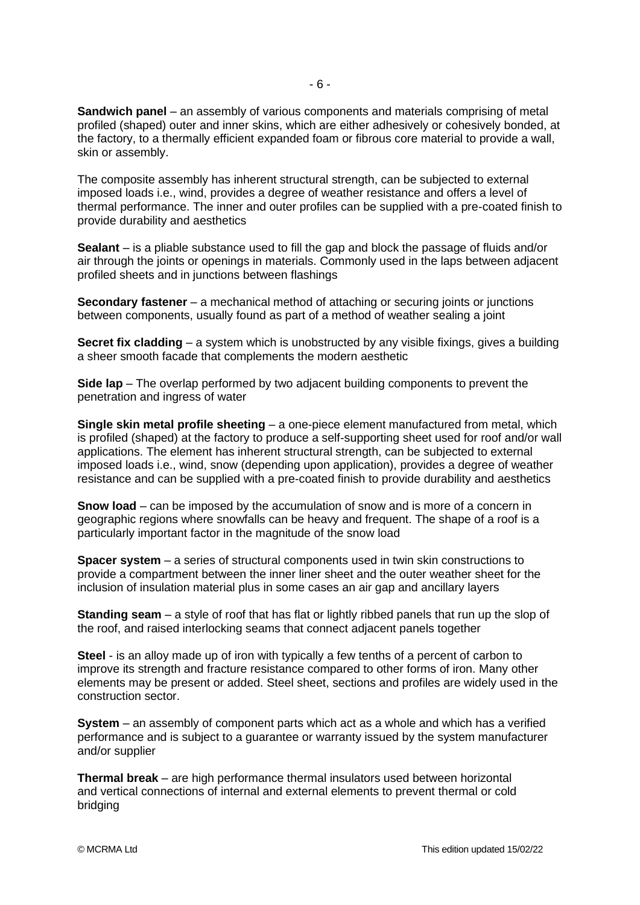**Sandwich panel** – an assembly of various components and materials comprising of metal profiled (shaped) outer and inner skins, which are either adhesively or cohesively bonded, at the factory, to a thermally efficient expanded foam or fibrous core material to provide a wall, skin or assembly.

The composite assembly has inherent structural strength, can be subjected to external imposed loads i.e., wind, provides a degree of weather resistance and offers a level of thermal performance. The inner and outer profiles can be supplied with a pre-coated finish to provide durability and aesthetics

**Sealant** – is a pliable substance used to fill the gap and block the passage of fluids and/or air through the joints or openings in materials. Commonly used in the laps between adjacent profiled sheets and in junctions between flashings

**Secondary fastener** – a mechanical method of attaching or securing joints or junctions between components, usually found as part of a method of weather sealing a joint

**Secret fix cladding** – a system which is unobstructed by any visible fixings, gives a building a sheer smooth facade that complements the modern aesthetic

**Side lap** – The overlap performed by two adjacent building components to prevent the penetration and ingress of water

**Single skin metal profile sheeting** – a one-piece element manufactured from metal, which is profiled (shaped) at the factory to produce a self-supporting sheet used for roof and/or wall applications. The element has inherent structural strength, can be subjected to external imposed loads i.e., wind, snow (depending upon application), provides a degree of weather resistance and can be supplied with a pre-coated finish to provide durability and aesthetics

**Snow load** – can be imposed by the accumulation of snow and is more of a concern in geographic regions where snowfalls can be heavy and frequent. The shape of a roof is a particularly important factor in the magnitude of the snow load

**Spacer system** – a series of structural components used in twin skin constructions to provide a compartment between the inner liner sheet and the outer weather sheet for the inclusion of insulation material plus in some cases an air gap and ancillary layers

**Standing seam** – a style of roof that has flat or lightly ribbed panels that run up the slop of the roof, and raised interlocking seams that connect adjacent panels together

**Steel** - is an alloy made up of iron with typically a few tenths of a percent of carbon to improve its strength and fracture resistance compared to other forms of iron. Many other elements may be present or added. Steel sheet, sections and profiles are widely used in the construction sector.

**System** – an assembly of component parts which act as a whole and which has a verified performance and is subject to a guarantee or warranty issued by the system manufacturer and/or supplier

**Thermal break** – are high performance thermal insulators used between horizontal and vertical connections of internal and external elements to prevent thermal or cold bridging